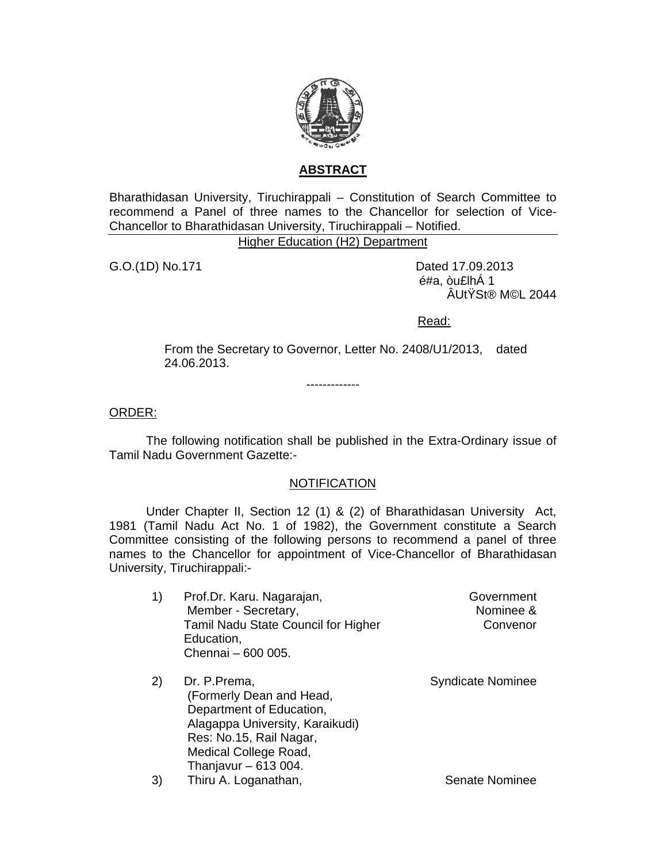

## **ABSTRACT**

Bharathidasan University, Tiruchirappali - Constitution of Search Committee to recommend a Panel of three names to the Chancellor for selection of Vice-Chancellor to Bharathidasan University, Tiruchirappali - Notified.

**Higher Education (H2) Department** 

G.O.(1D) No.171

Dated 17.09.2013 é#a, òu£lhÁ 1 ÂUtŸSt® M©L 2044

Read:

From the Secretary to Governor, Letter No. 2408/U1/2013, dated 24.06.2013.

ORDER:

The following notification shall be published in the Extra-Ordinary issue of Tamil Nadu Government Gazette:-

## **NOTIFICATION**

Under Chapter II, Section 12 (1) & (2) of Bharathidasan University Act, 1981 (Tamil Nadu Act No. 1 of 1982), the Government constitute a Search Committee consisting of the following persons to recommend a panel of three names to the Chancellor for appointment of Vice-Chancellor of Bharathidasan University, Tiruchirappali:-

- $1)$ Prof.Dr. Karu. Nagarajan, Government Member - Secretary, Nominee & Tamil Nadu State Council for Higher Convenor Education. Chennai - 600 005.
- $2)$ Dr. P.Prema. **Syndicate Nominee** (Formerly Dean and Head, Department of Education, Alagappa University, Karaikudi) Res: No.15, Rail Nagar, Medical College Road, Thanjavur  $-613004$ .  $3)$ Thiru A. Loganathan, Senate Nominee